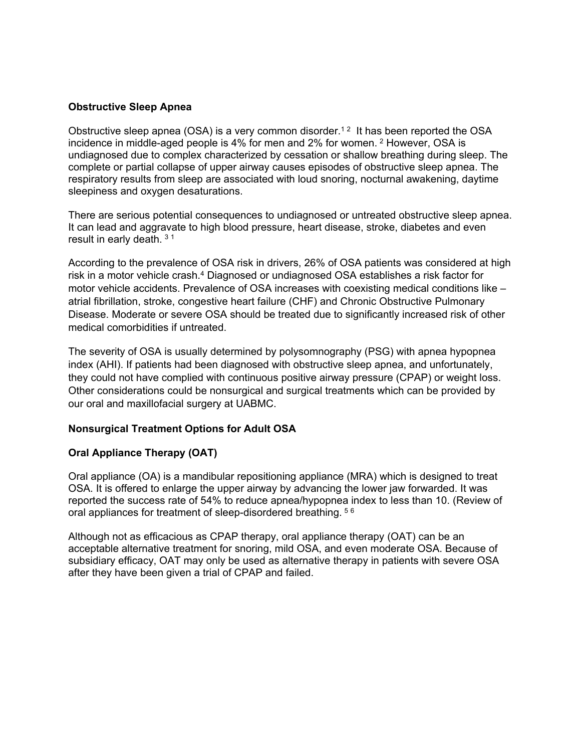## **Obstructive Sleep Apnea**

Obstructive sleep apnea (OSA) is a very common disorder.<sup>12</sup> It has been reported the OSA incidence in middle-aged people is 4% for men and 2% for women. <sup>2</sup> However, OSA is undiagnosed due to complex characterized by cessation or shallow breathing during sleep. The complete or partial collapse of upper airway causes episodes of obstructive sleep apnea. The respiratory results from sleep are associated with loud snoring, nocturnal awakening, daytime sleepiness and oxygen desaturations.

There are serious potential consequences to undiagnosed or untreated obstructive sleep apnea. It can lead and aggravate to high blood pressure, heart disease, stroke, diabetes and even result in early death. <sup>3</sup> <sup>1</sup>

According to the prevalence of OSA risk in drivers, 26% of OSA patients was considered at high risk in a motor vehicle crash.4 Diagnosed or undiagnosed OSA establishes a risk factor for motor vehicle accidents. Prevalence of OSA increases with coexisting medical conditions like – atrial fibrillation, stroke, congestive heart failure (CHF) and Chronic Obstructive Pulmonary Disease. Moderate or severe OSA should be treated due to significantly increased risk of other medical comorbidities if untreated.

The severity of OSA is usually determined by polysomnography (PSG) with apnea hypopnea index (AHI). If patients had been diagnosed with obstructive sleep apnea, and unfortunately, they could not have complied with continuous positive airway pressure (CPAP) or weight loss. Other considerations could be nonsurgical and surgical treatments which can be provided by our oral and maxillofacial surgery at UABMC.

## **Nonsurgical Treatment Options for Adult OSA**

## **Oral Appliance Therapy (OAT)**

Oral appliance (OA) is a mandibular repositioning appliance (MRA) which is designed to treat OSA. It is offered to enlarge the upper airway by advancing the lower jaw forwarded. It was reported the success rate of 54% to reduce apnea/hypopnea index to less than 10. (Review of oral appliances for treatment of sleep-disordered breathing. <sup>5</sup> <sup>6</sup>

Although not as efficacious as CPAP therapy, oral appliance therapy (OAT) can be an acceptable alternative treatment for snoring, mild OSA, and even moderate OSA. Because of subsidiary efficacy, OAT may only be used as alternative therapy in patients with severe OSA after they have been given a trial of CPAP and failed.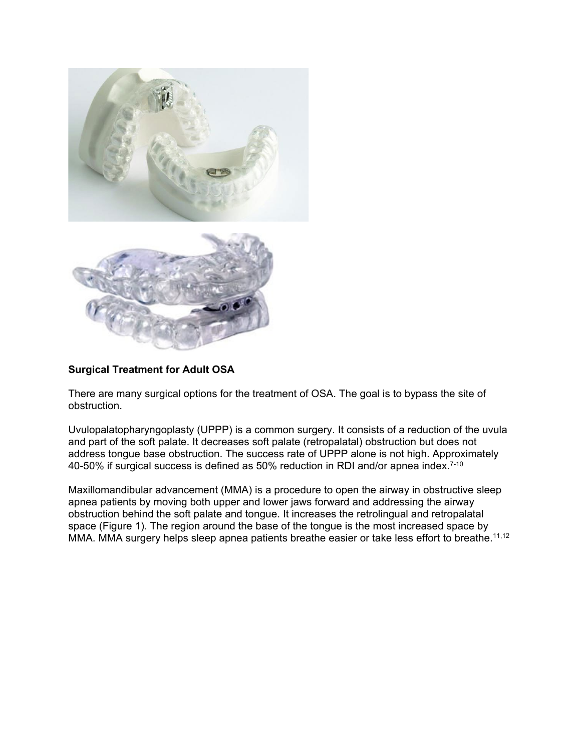

## **Surgical Treatment for Adult OSA**

There are many surgical options for the treatment of OSA. The goal is to bypass the site of obstruction.

Uvulopalatopharyngoplasty (UPPP) is a common surgery. It consists of a reduction of the uvula and part of the soft palate. It decreases soft palate (retropalatal) obstruction but does not address tongue base obstruction. The success rate of UPPP alone is not high. Approximately 40-50% if surgical success is defined as 50% reduction in RDI and/or apnea index. $^{7\text{-}10}$ 

Maxillomandibular advancement (MMA) is a procedure to open the airway in obstructive sleep apnea patients by moving both upper and lower jaws forward and addressing the airway obstruction behind the soft palate and tongue. It increases the retrolingual and retropalatal space (Figure 1). The region around the base of the tongue is the most increased space by MMA. MMA surgery helps sleep apnea patients breathe easier or take less effort to breathe.<sup>11,12</sup>